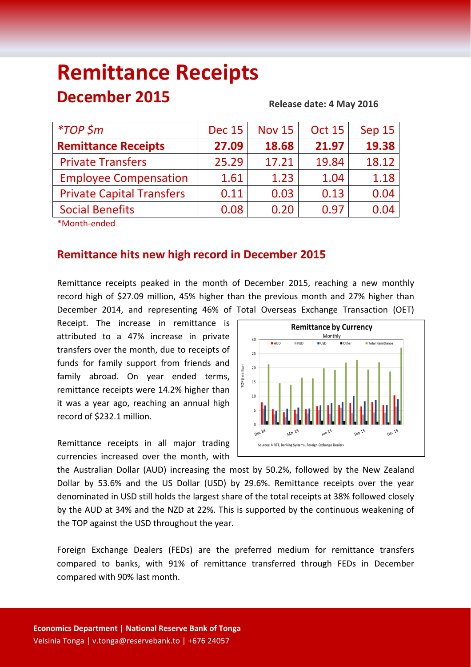# **Remittance Receipts December 2015**

#### **Release date: 4 May 2016**

| $*TOP$ \$m                       | <b>Dec 15</b> | <b>Nov 15</b> | <b>Oct 15</b> | Sep 15 |
|----------------------------------|---------------|---------------|---------------|--------|
| <b>Remittance Receipts</b>       | 27.09         | 18.68         | 21.97         | 19.38  |
| <b>Private Transfers</b>         | 25.29         | 17.21         | 19.84         | 18.12  |
| <b>Employee Compensation</b>     | 1.61          | 1.23          | 1.04          | 1.18   |
| <b>Private Capital Transfers</b> | 0.11          | 0.03          | 0.13          | 0.04   |
| <b>Social Benefits</b>           | 0.08          | 0.20          | 0.97          | 0.04   |
|                                  |               |               |               |        |

\*Month‐ended

## **Remittance hits new high record in December 2015**

Remittance receipts peaked in the month of December 2015, reaching a new monthly record high of \$27.09 million, 45% higher than the previous month and 27% higher than December 2014, and representing 46% of Total Overseas Exchange Transaction (OET)

Receipt. The increase in remittance is attributed to a 47% increase in private transfers over the month, due to receipts of funds for family support from friends and family abroad. On year ended terms, remittance receipts were 14.2% higher than it was a year ago, reaching an annual high record of \$232.1 million.

Remittance receipts in all major trading currencies increased over the month, with



the Australian Dollar (AUD) increasing the most by 50.2%, followed by the New Zealand Dollar by 53.6% and the US Dollar (USD) by 29.6%. Remittance receipts over the year denominated in USD still holds the largest share of the total receipts at 38% followed closely by the AUD at 34% and the NZD at 22%. This is supported by the continuous weakening of the TOP against the USD throughout the year.

Foreign Exchange Dealers (FEDs) are the preferred medium for remittance transfers compared to banks, with 91% of remittance transferred through FEDs in December compared with 90% last month.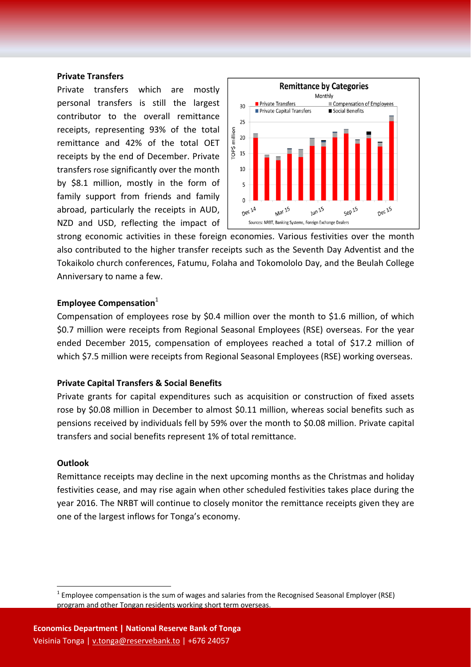#### **Private Transfers**

Private transfers which are mostly personal transfers is still the largest contributor to the overall remittance receipts, representing 93% of the total remittance and 42% of the total OET receipts by the end of December. Private transfers rose significantly over the month by \$8.1 million, mostly in the form of family support from friends and family abroad, particularly the receipts in AUD, NZD and USD, reflecting the impact of



strong economic activities in these foreign economies. Various festivities over the month also contributed to the higher transfer receipts such as the Seventh Day Adventist and the Tokaikolo church conferences, Fatumu, Folaha and Tokomololo Day, and the Beulah College Anniversary to name a few.

#### **Employee Compensation**<sup>1</sup>

Compensation of employees rose by \$0.4 million over the month to \$1.6 million, of which \$0.7 million were receipts from Regional Seasonal Employees (RSE) overseas. For the year ended December 2015, compensation of employees reached a total of \$17.2 million of which \$7.5 million were receipts from Regional Seasonal Employees (RSE) working overseas.

#### **Private Capital Transfers & Social Benefits**

Private grants for capital expenditures such as acquisition or construction of fixed assets rose by \$0.08 million in December to almost \$0.11 million, whereas social benefits such as pensions received by individuals fell by 59% over the month to \$0.08 million. Private capital transfers and social benefits represent 1% of total remittance.

### **Outlook**

Remittance receipts may decline in the next upcoming months as the Christmas and holiday festivities cease, and may rise again when other scheduled festivities takes place during the year 2016. The NRBT will continue to closely monitor the remittance receipts given they are one of the largest inflows for Tonga's economy.

 $1$  Employee compensation is the sum of wages and salaries from the Recognised Seasonal Employer (RSE) program and other Tongan residents working short term overseas.